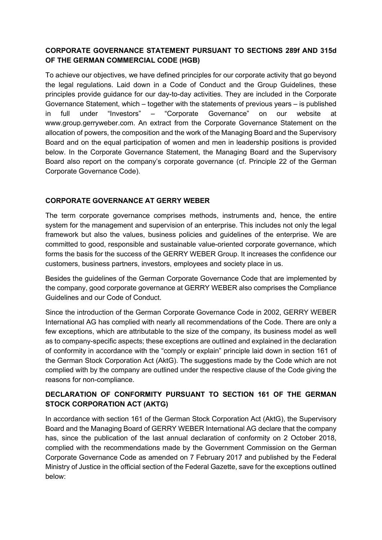## CORPORATE GOVERNANCE STATEMENT PURSUANT TO SECTIONS 289f AND 315d OF THE GERMAN COMMERCIAL CODE (HGB)

To achieve our objectives, we have defined principles for our corporate activity that go beyond the legal regulations. Laid down in a Code of Conduct and the Group Guidelines, these principles provide guidance for our day-to-day activities. They are included in the Corporate Governance Statement, which – together with the statements of previous years – is published in full under "Investors" – "Corporate Governance" on our website at www.group.gerryweber.com. An extract from the Corporate Governance Statement on the allocation of powers, the composition and the work of the Managing Board and the Supervisory Board and on the equal participation of women and men in leadership positions is provided below. In the Corporate Governance Statement, the Managing Board and the Supervisory Board also report on the company's corporate governance (cf. Principle 22 of the German Corporate Governance Code).

## CORPORATE GOVERNANCE AT GERRY WEBER

The term corporate governance comprises methods, instruments and, hence, the entire system for the management and supervision of an enterprise. This includes not only the legal framework but also the values, business policies and guidelines of the enterprise. We are committed to good, responsible and sustainable value-oriented corporate governance, which forms the basis for the success of the GERRY WEBER Group. It increases the confidence our customers, business partners, investors, employees and society place in us.

Besides the guidelines of the German Corporate Governance Code that are implemented by the company, good corporate governance at GERRY WEBER also comprises the Compliance Guidelines and our Code of Conduct.

Since the introduction of the German Corporate Governance Code in 2002, GERRY WEBER International AG has complied with nearly all recommendations of the Code. There are only a few exceptions, which are attributable to the size of the company, its business model as well as to company-specific aspects; these exceptions are outlined and explained in the declaration of conformity in accordance with the "comply or explain" principle laid down in section 161 of the German Stock Corporation Act (AktG). The suggestions made by the Code which are not complied with by the company are outlined under the respective clause of the Code giving the reasons for non-compliance.

## DECLARATION OF CONFORMITY PURSUANT TO SECTION 161 OF THE GERMAN STOCK CORPORATION ACT (AKTG)

In accordance with section 161 of the German Stock Corporation Act (AktG), the Supervisory Board and the Managing Board of GERRY WEBER International AG declare that the company has, since the publication of the last annual declaration of conformity on 2 October 2018, complied with the recommendations made by the Government Commission on the German Corporate Governance Code as amended on 7 February 2017 and published by the Federal Ministry of Justice in the official section of the Federal Gazette, save for the exceptions outlined below: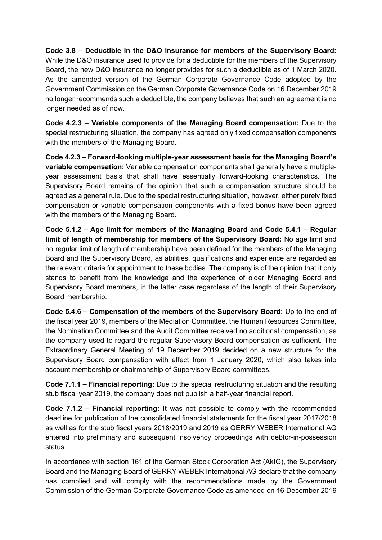Code 3.8 – Deductible in the D&O insurance for members of the Supervisory Board: While the D&O insurance used to provide for a deductible for the members of the Supervisory Board, the new D&O insurance no longer provides for such a deductible as of 1 March 2020. As the amended version of the German Corporate Governance Code adopted by the Government Commission on the German Corporate Governance Code on 16 December 2019 no longer recommends such a deductible, the company believes that such an agreement is no longer needed as of now.

Code 4.2.3 – Variable components of the Managing Board compensation: Due to the special restructuring situation, the company has agreed only fixed compensation components with the members of the Managing Board.

Code 4.2.3 – Forward-looking multiple-year assessment basis for the Managing Board's variable compensation: Variable compensation components shall generally have a multipleyear assessment basis that shall have essentially forward-looking characteristics. The Supervisory Board remains of the opinion that such a compensation structure should be agreed as a general rule. Due to the special restructuring situation, however, either purely fixed compensation or variable compensation components with a fixed bonus have been agreed with the members of the Managing Board.

Code 5.1.2 – Age limit for members of the Managing Board and Code 5.4.1 – Regular limit of length of membership for members of the Supervisory Board: No age limit and no regular limit of length of membership have been defined for the members of the Managing Board and the Supervisory Board, as abilities, qualifications and experience are regarded as the relevant criteria for appointment to these bodies. The company is of the opinion that it only stands to benefit from the knowledge and the experience of older Managing Board and Supervisory Board members, in the latter case regardless of the length of their Supervisory Board membership.

Code 5.4.6 – Compensation of the members of the Supervisory Board: Up to the end of the fiscal year 2019, members of the Mediation Committee, the Human Resources Committee, the Nomination Committee and the Audit Committee received no additional compensation, as the company used to regard the regular Supervisory Board compensation as sufficient. The Extraordinary General Meeting of 19 December 2019 decided on a new structure for the Supervisory Board compensation with effect from 1 January 2020, which also takes into account membership or chairmanship of Supervisory Board committees.

Code 7.1.1 – Financial reporting: Due to the special restructuring situation and the resulting stub fiscal year 2019, the company does not publish a half-year financial report.

Code 7.1.2 – Financial reporting: It was not possible to comply with the recommended deadline for publication of the consolidated financial statements for the fiscal year 2017/2018 as well as for the stub fiscal years 2018/2019 and 2019 as GERRY WEBER International AG entered into preliminary and subsequent insolvency proceedings with debtor-in-possession status.

In accordance with section 161 of the German Stock Corporation Act (AktG), the Supervisory Board and the Managing Board of GERRY WEBER International AG declare that the company has complied and will comply with the recommendations made by the Government Commission of the German Corporate Governance Code as amended on 16 December 2019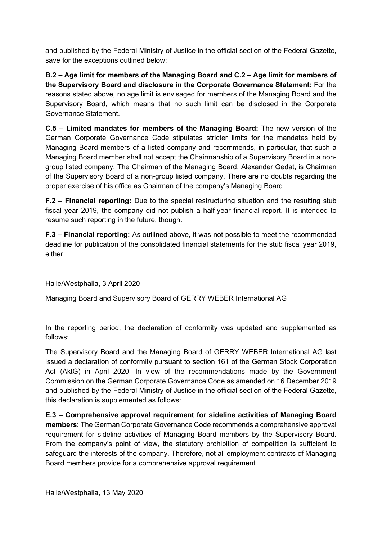and published by the Federal Ministry of Justice in the official section of the Federal Gazette, save for the exceptions outlined below:

B.2 – Age limit for members of the Managing Board and C.2 – Age limit for members of the Supervisory Board and disclosure in the Corporate Governance Statement: For the reasons stated above, no age limit is envisaged for members of the Managing Board and the Supervisory Board, which means that no such limit can be disclosed in the Corporate Governance Statement.

C.5 – Limited mandates for members of the Managing Board: The new version of the German Corporate Governance Code stipulates stricter limits for the mandates held by Managing Board members of a listed company and recommends, in particular, that such a Managing Board member shall not accept the Chairmanship of a Supervisory Board in a nongroup listed company. The Chairman of the Managing Board, Alexander Gedat, is Chairman of the Supervisory Board of a non-group listed company. There are no doubts regarding the proper exercise of his office as Chairman of the company's Managing Board.

F.2 – Financial reporting: Due to the special restructuring situation and the resulting stub fiscal year 2019, the company did not publish a half-year financial report. It is intended to resume such reporting in the future, though.

F.3 – Financial reporting: As outlined above, it was not possible to meet the recommended deadline for publication of the consolidated financial statements for the stub fiscal year 2019, either.

Halle/Westphalia, 3 April 2020

Managing Board and Supervisory Board of GERRY WEBER International AG

In the reporting period, the declaration of conformity was updated and supplemented as follows:

The Supervisory Board and the Managing Board of GERRY WEBER International AG last issued a declaration of conformity pursuant to section 161 of the German Stock Corporation Act (AktG) in April 2020. In view of the recommendations made by the Government Commission on the German Corporate Governance Code as amended on 16 December 2019 and published by the Federal Ministry of Justice in the official section of the Federal Gazette, this declaration is supplemented as follows:

E.3 – Comprehensive approval requirement for sideline activities of Managing Board members: The German Corporate Governance Code recommends a comprehensive approval requirement for sideline activities of Managing Board members by the Supervisory Board. From the company's point of view, the statutory prohibition of competition is sufficient to safeguard the interests of the company. Therefore, not all employment contracts of Managing Board members provide for a comprehensive approval requirement.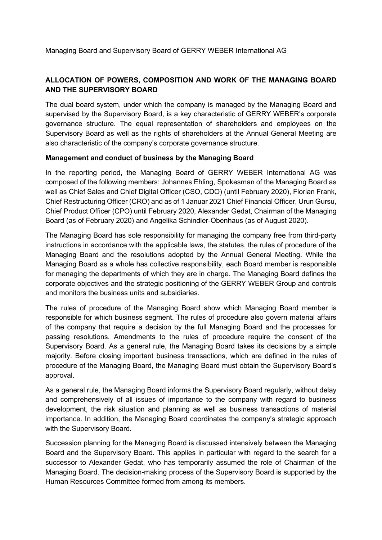# ALLOCATION OF POWERS, COMPOSITION AND WORK OF THE MANAGING BOARD AND THE SUPERVISORY BOARD

The dual board system, under which the company is managed by the Managing Board and supervised by the Supervisory Board, is a key characteristic of GERRY WEBER's corporate governance structure. The equal representation of shareholders and employees on the Supervisory Board as well as the rights of shareholders at the Annual General Meeting are also characteristic of the company's corporate governance structure.

#### Management and conduct of business by the Managing Board

In the reporting period, the Managing Board of GERRY WEBER International AG was composed of the following members: Johannes Ehling, Spokesman of the Managing Board as well as Chief Sales and Chief Digital Officer (CSO, CDO) (until February 2020), Florian Frank, Chief Restructuring Officer (CRO) and as of 1 Januar 2021 Chief Financial Officer, Urun Gursu, Chief Product Officer (CPO) until February 2020, Alexander Gedat, Chairman of the Managing Board (as of February 2020) and Angelika Schindler-Obenhaus (as of August 2020).

The Managing Board has sole responsibility for managing the company free from third-party instructions in accordance with the applicable laws, the statutes, the rules of procedure of the Managing Board and the resolutions adopted by the Annual General Meeting. While the Managing Board as a whole has collective responsibility, each Board member is responsible for managing the departments of which they are in charge. The Managing Board defines the corporate objectives and the strategic positioning of the GERRY WEBER Group and controls and monitors the business units and subsidiaries.

The rules of procedure of the Managing Board show which Managing Board member is responsible for which business segment. The rules of procedure also govern material affairs of the company that require a decision by the full Managing Board and the processes for passing resolutions. Amendments to the rules of procedure require the consent of the Supervisory Board. As a general rule, the Managing Board takes its decisions by a simple majority. Before closing important business transactions, which are defined in the rules of procedure of the Managing Board, the Managing Board must obtain the Supervisory Board's approval.

As a general rule, the Managing Board informs the Supervisory Board regularly, without delay and comprehensively of all issues of importance to the company with regard to business development, the risk situation and planning as well as business transactions of material importance. In addition, the Managing Board coordinates the company's strategic approach with the Supervisory Board.

Succession planning for the Managing Board is discussed intensively between the Managing Board and the Supervisory Board. This applies in particular with regard to the search for a successor to Alexander Gedat, who has temporarily assumed the role of Chairman of the Managing Board. The decision-making process of the Supervisory Board is supported by the Human Resources Committee formed from among its members.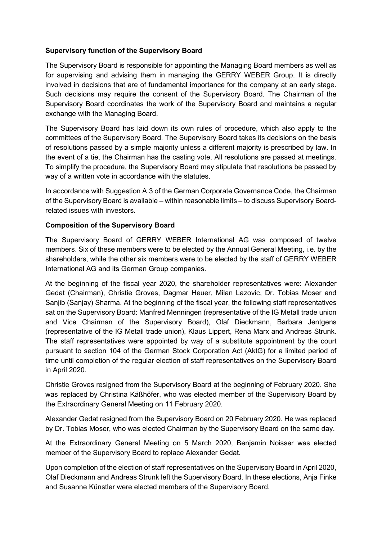#### Supervisory function of the Supervisory Board

The Supervisory Board is responsible for appointing the Managing Board members as well as for supervising and advising them in managing the GERRY WEBER Group. It is directly involved in decisions that are of fundamental importance for the company at an early stage. Such decisions may require the consent of the Supervisory Board. The Chairman of the Supervisory Board coordinates the work of the Supervisory Board and maintains a regular exchange with the Managing Board.

The Supervisory Board has laid down its own rules of procedure, which also apply to the committees of the Supervisory Board. The Supervisory Board takes its decisions on the basis of resolutions passed by a simple majority unless a different majority is prescribed by law. In the event of a tie, the Chairman has the casting vote. All resolutions are passed at meetings. To simplify the procedure, the Supervisory Board may stipulate that resolutions be passed by way of a written vote in accordance with the statutes.

In accordance with Suggestion A.3 of the German Corporate Governance Code, the Chairman of the Supervisory Board is available – within reasonable limits – to discuss Supervisory Boardrelated issues with investors.

#### Composition of the Supervisory Board

The Supervisory Board of GERRY WEBER International AG was composed of twelve members. Six of these members were to be elected by the Annual General Meeting, i.e. by the shareholders, while the other six members were to be elected by the staff of GERRY WEBER International AG and its German Group companies.

At the beginning of the fiscal year 2020, the shareholder representatives were: Alexander Gedat (Chairman), Christie Groves, Dagmar Heuer, Milan Lazovic, Dr. Tobias Moser and Sanjib (Sanjay) Sharma. At the beginning of the fiscal year, the following staff representatives sat on the Supervisory Board: Manfred Menningen (representative of the IG Metall trade union and Vice Chairman of the Supervisory Board), Olaf Dieckmann, Barbara Jentgens (representative of the IG Metall trade union), Klaus Lippert, Rena Marx and Andreas Strunk. The staff representatives were appointed by way of a substitute appointment by the court pursuant to section 104 of the German Stock Corporation Act (AktG) for a limited period of time until completion of the regular election of staff representatives on the Supervisory Board in April 2020.

Christie Groves resigned from the Supervisory Board at the beginning of February 2020. She was replaced by Christina Käßhöfer, who was elected member of the Supervisory Board by the Extraordinary General Meeting on 11 February 2020.

Alexander Gedat resigned from the Supervisory Board on 20 February 2020. He was replaced by Dr. Tobias Moser, who was elected Chairman by the Supervisory Board on the same day.

At the Extraordinary General Meeting on 5 March 2020, Benjamin Noisser was elected member of the Supervisory Board to replace Alexander Gedat.

Upon completion of the election of staff representatives on the Supervisory Board in April 2020, Olaf Dieckmann and Andreas Strunk left the Supervisory Board. In these elections, Anja Finke and Susanne Künstler were elected members of the Supervisory Board.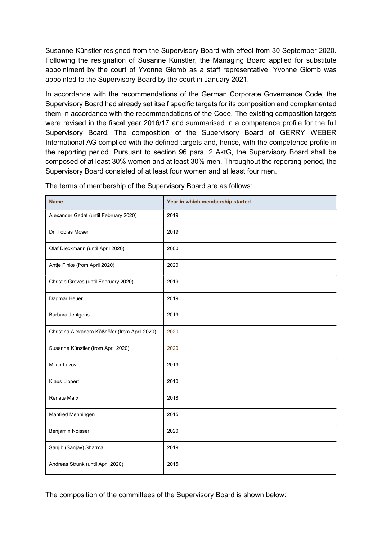Susanne Künstler resigned from the Supervisory Board with effect from 30 September 2020. Following the resignation of Susanne Künstler, the Managing Board applied for substitute appointment by the court of Yvonne Glomb as a staff representative. Yvonne Glomb was appointed to the Supervisory Board by the court in January 2021.

In accordance with the recommendations of the German Corporate Governance Code, the Supervisory Board had already set itself specific targets for its composition and complemented them in accordance with the recommendations of the Code. The existing composition targets were revised in the fiscal year 2016/17 and summarised in a competence profile for the full Supervisory Board. The composition of the Supervisory Board of GERRY WEBER International AG complied with the defined targets and, hence, with the competence profile in the reporting period. Pursuant to section 96 para. 2 AktG, the Supervisory Board shall be composed of at least 30% women and at least 30% men. Throughout the reporting period, the Supervisory Board consisted of at least four women and at least four men.

| <b>Name</b>                                    | Year in which membership started |
|------------------------------------------------|----------------------------------|
| Alexander Gedat (until February 2020)          | 2019                             |
| Dr. Tobias Moser                               | 2019                             |
| Olaf Dieckmann (until April 2020)              | 2000                             |
| Antje Finke (from April 2020)                  | 2020                             |
| Christie Groves (until February 2020)          | 2019                             |
| Dagmar Heuer                                   | 2019                             |
| Barbara Jentgens                               | 2019                             |
| Christina Alexandra Käßhöfer (from April 2020) | 2020                             |
| Susanne Künstler (from April 2020)             | 2020                             |
| Milan Lazovic                                  | 2019                             |
| <b>Klaus Lippert</b>                           | 2010                             |
| <b>Renate Marx</b>                             | 2018                             |
| Manfred Menningen                              | 2015                             |
| Benjamin Noisser                               | 2020                             |
| Sanjib (Sanjay) Sharma                         | 2019                             |
| Andreas Strunk (until April 2020)              | 2015                             |

The terms of membership of the Supervisory Board are as follows:

The composition of the committees of the Supervisory Board is shown below: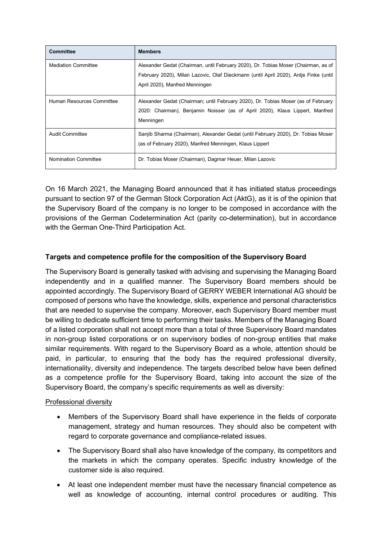| <b>Committee</b>            | <b>Members</b>                                                                                                                                                                                               |
|-----------------------------|--------------------------------------------------------------------------------------------------------------------------------------------------------------------------------------------------------------|
| <b>Mediation Committee</b>  | Alexander Gedat (Chairman, until February 2020), Dr. Tobias Moser (Chairman, as of<br>February 2020), Milan Lazovic, Olaf Dieckmann (until April 2020), Antje Finke (until<br>April 2020), Manfred Menningen |
| Human Resources Committee   | Alexander Gedat (Chairman; until February 2020), Dr. Tobias Moser (as of February<br>2020: Chairman), Benjamin Noisser (as of April 2020), Klaus Lippert, Manfred<br>Menningen                               |
| Audit Committee             | Sanjib Sharma (Chairman), Alexander Gedat (until February 2020), Dr. Tobias Moser<br>(as of February 2020), Manfred Menningen, Klaus Lippert                                                                 |
| <b>Nomination Committee</b> | Dr. Tobias Moser (Chairman), Dagmar Heuer, Milan Lazovic                                                                                                                                                     |

On 16 March 2021, the Managing Board announced that it has initiated status proceedings pursuant to section 97 of the German Stock Corporation Act (AktG), as it is of the opinion that the Supervisory Board of the company is no longer to be composed in accordance with the provisions of the German Codetermination Act (parity co-determination), but in accordance with the German One-Third Participation Act.

## Targets and competence profile for the composition of the Supervisory Board

The Supervisory Board is generally tasked with advising and supervising the Managing Board independently and in a qualified manner. The Supervisory Board members should be appointed accordingly. The Supervisory Board of GERRY WEBER International AG should be composed of persons who have the knowledge, skills, experience and personal characteristics that are needed to supervise the company. Moreover, each Supervisory Board member must be willing to dedicate sufficient time to performing their tasks. Members of the Managing Board of a listed corporation shall not accept more than a total of three Supervisory Board mandates in non-group listed corporations or on supervisory bodies of non-group entities that make similar requirements. With regard to the Supervisory Board as a whole, attention should be paid, in particular, to ensuring that the body has the required professional diversity, internationality, diversity and independence. The targets described below have been defined as a competence profile for the Supervisory Board, taking into account the size of the Supervisory Board, the company's specific requirements as well as diversity:

## Professional diversity

- Members of the Supervisory Board shall have experience in the fields of corporate management, strategy and human resources. They should also be competent with regard to corporate governance and compliance-related issues.
- The Supervisory Board shall also have knowledge of the company, its competitors and the markets in which the company operates. Specific industry knowledge of the customer side is also required.
- At least one independent member must have the necessary financial competence as well as knowledge of accounting, internal control procedures or auditing. This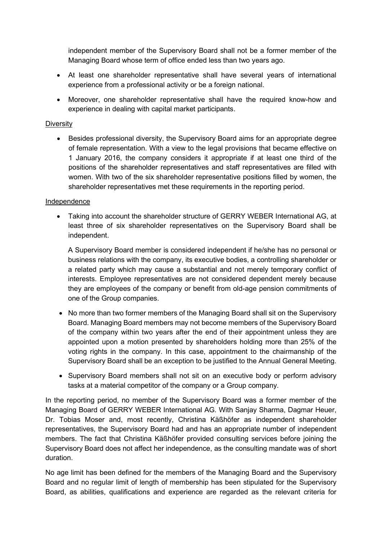independent member of the Supervisory Board shall not be a former member of the Managing Board whose term of office ended less than two years ago.

- At least one shareholder representative shall have several years of international experience from a professional activity or be a foreign national.
- Moreover, one shareholder representative shall have the required know-how and experience in dealing with capital market participants.

#### **Diversity**

 Besides professional diversity, the Supervisory Board aims for an appropriate degree of female representation. With a view to the legal provisions that became effective on 1 January 2016, the company considers it appropriate if at least one third of the positions of the shareholder representatives and staff representatives are filled with women. With two of the six shareholder representative positions filled by women, the shareholder representatives met these requirements in the reporting period.

#### Independence

 Taking into account the shareholder structure of GERRY WEBER International AG, at least three of six shareholder representatives on the Supervisory Board shall be independent.

A Supervisory Board member is considered independent if he/she has no personal or business relations with the company, its executive bodies, a controlling shareholder or a related party which may cause a substantial and not merely temporary conflict of interests. Employee representatives are not considered dependent merely because they are employees of the company or benefit from old-age pension commitments of one of the Group companies.

- No more than two former members of the Managing Board shall sit on the Supervisory Board. Managing Board members may not become members of the Supervisory Board of the company within two years after the end of their appointment unless they are appointed upon a motion presented by shareholders holding more than 25% of the voting rights in the company. In this case, appointment to the chairmanship of the Supervisory Board shall be an exception to be justified to the Annual General Meeting.
- Supervisory Board members shall not sit on an executive body or perform advisory tasks at a material competitor of the company or a Group company.

In the reporting period, no member of the Supervisory Board was a former member of the Managing Board of GERRY WEBER International AG. With Sanjay Sharma, Dagmar Heuer, Dr. Tobias Moser and, most recently, Christina Käßhöfer as independent shareholder representatives, the Supervisory Board had and has an appropriate number of independent members. The fact that Christina Käßhöfer provided consulting services before joining the Supervisory Board does not affect her independence, as the consulting mandate was of short duration.

No age limit has been defined for the members of the Managing Board and the Supervisory Board and no regular limit of length of membership has been stipulated for the Supervisory Board, as abilities, qualifications and experience are regarded as the relevant criteria for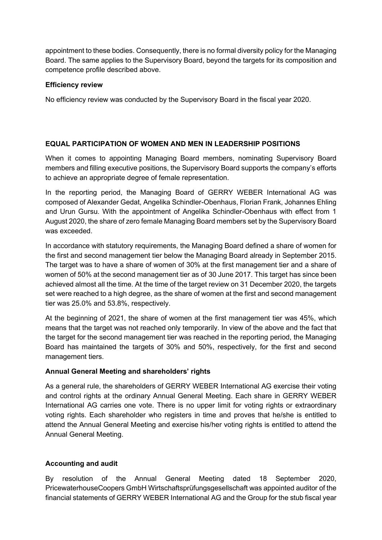appointment to these bodies. Consequently, there is no formal diversity policy for the Managing Board. The same applies to the Supervisory Board, beyond the targets for its composition and competence profile described above.

#### Efficiency review

No efficiency review was conducted by the Supervisory Board in the fiscal year 2020.

## EQUAL PARTICIPATION OF WOMEN AND MEN IN LEADERSHIP POSITIONS

When it comes to appointing Managing Board members, nominating Supervisory Board members and filling executive positions, the Supervisory Board supports the company's efforts to achieve an appropriate degree of female representation.

In the reporting period, the Managing Board of GERRY WEBER International AG was composed of Alexander Gedat, Angelika Schindler-Obenhaus, Florian Frank, Johannes Ehling and Urun Gursu. With the appointment of Angelika Schindler-Obenhaus with effect from 1 August 2020, the share of zero female Managing Board members set by the Supervisory Board was exceeded.

In accordance with statutory requirements, the Managing Board defined a share of women for the first and second management tier below the Managing Board already in September 2015. The target was to have a share of women of 30% at the first management tier and a share of women of 50% at the second management tier as of 30 June 2017. This target has since been achieved almost all the time. At the time of the target review on 31 December 2020, the targets set were reached to a high degree, as the share of women at the first and second management tier was 25.0% and 53.8%, respectively.

At the beginning of 2021, the share of women at the first management tier was 45%, which means that the target was not reached only temporarily. In view of the above and the fact that the target for the second management tier was reached in the reporting period, the Managing Board has maintained the targets of 30% and 50%, respectively, for the first and second management tiers.

## Annual General Meeting and shareholders' rights

As a general rule, the shareholders of GERRY WEBER International AG exercise their voting and control rights at the ordinary Annual General Meeting. Each share in GERRY WEBER International AG carries one vote. There is no upper limit for voting rights or extraordinary voting rights. Each shareholder who registers in time and proves that he/she is entitled to attend the Annual General Meeting and exercise his/her voting rights is entitled to attend the Annual General Meeting.

## Accounting and audit

By resolution of the Annual General Meeting dated 18 September 2020, PricewaterhouseCoopers GmbH Wirtschaftsprüfungsgesellschaft was appointed auditor of the financial statements of GERRY WEBER International AG and the Group for the stub fiscal year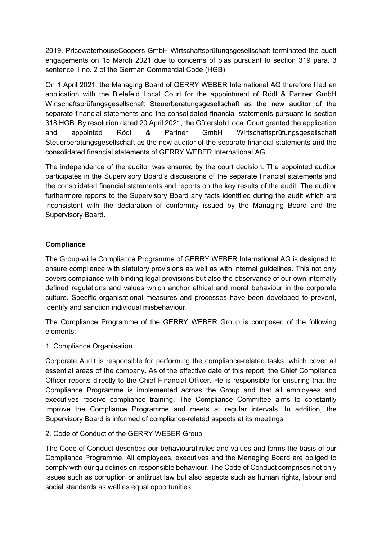2019. PricewaterhouseCoopers GmbH Wirtschaftsprüfungsgesellschaft terminated the audit engagements on 15 March 2021 due to concerns of bias pursuant to section 319 para. 3 sentence 1 no. 2 of the German Commercial Code (HGB).

On 1 April 2021, the Managing Board of GERRY WEBER International AG therefore filed an application with the Bielefeld Local Court for the appointment of Rödl & Partner GmbH Wirtschaftsprüfungsgesellschaft Steuerberatungsgesellschaft as the new auditor of the separate financial statements and the consolidated financial statements pursuant to section 318 HGB. By resolution dated 20 April 2021, the Gütersloh Local Court granted the application and appointed Rödl & Partner GmbH Wirtschaftsprüfungsgesellschaft Steuerberatungsgesellschaft as the new auditor of the separate financial statements and the consolidated financial statements of GERRY WEBER International AG.

The independence of the auditor was ensured by the court decision. The appointed auditor participates in the Supervisory Board's discussions of the separate financial statements and the consolidated financial statements and reports on the key results of the audit. The auditor furthermore reports to the Supervisory Board any facts identified during the audit which are inconsistent with the declaration of conformity issued by the Managing Board and the Supervisory Board.

## **Compliance**

The Group-wide Compliance Programme of GERRY WEBER International AG is designed to ensure compliance with statutory provisions as well as with internal guidelines. This not only covers compliance with binding legal provisions but also the observance of our own internally defined regulations and values which anchor ethical and moral behaviour in the corporate culture. Specific organisational measures and processes have been developed to prevent, identify and sanction individual misbehaviour.

The Compliance Programme of the GERRY WEBER Group is composed of the following elements:

## 1. Compliance Organisation

Corporate Audit is responsible for performing the compliance-related tasks, which cover all essential areas of the company. As of the effective date of this report, the Chief Compliance Officer reports directly to the Chief Financial Officer. He is responsible for ensuring that the Compliance Programme is implemented across the Group and that all employees and executives receive compliance training. The Compliance Committee aims to constantly improve the Compliance Programme and meets at regular intervals. In addition, the Supervisory Board is informed of compliance-related aspects at its meetings.

#### 2. Code of Conduct of the GERRY WEBER Group

The Code of Conduct describes our behavioural rules and values and forms the basis of our Compliance Programme. All employees, executives and the Managing Board are obliged to comply with our guidelines on responsible behaviour. The Code of Conduct comprises not only issues such as corruption or antitrust law but also aspects such as human rights, labour and social standards as well as equal opportunities.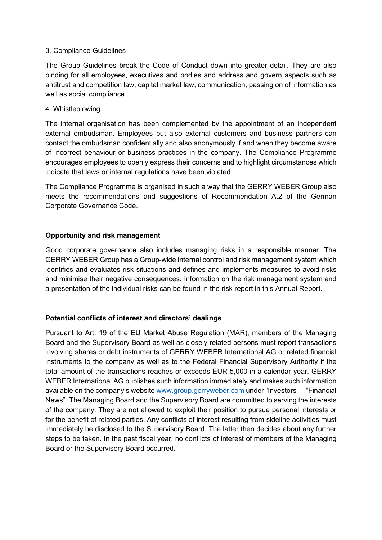#### 3. Compliance Guidelines

The Group Guidelines break the Code of Conduct down into greater detail. They are also binding for all employees, executives and bodies and address and govern aspects such as antitrust and competition law, capital market law, communication, passing on of information as well as social compliance.

#### 4. Whistleblowing

The internal organisation has been complemented by the appointment of an independent external ombudsman. Employees but also external customers and business partners can contact the ombudsman confidentially and also anonymously if and when they become aware of incorrect behaviour or business practices in the company. The Compliance Programme encourages employees to openly express their concerns and to highlight circumstances which indicate that laws or internal regulations have been violated.

The Compliance Programme is organised in such a way that the GERRY WEBER Group also meets the recommendations and suggestions of Recommendation A.2 of the German Corporate Governance Code.

## Opportunity and risk management

Good corporate governance also includes managing risks in a responsible manner. The GERRY WEBER Group has a Group-wide internal control and risk management system which identifies and evaluates risk situations and defines and implements measures to avoid risks and minimise their negative consequences. Information on the risk management system and a presentation of the individual risks can be found in the risk report in this Annual Report.

## Potential conflicts of interest and directors' dealings

Pursuant to Art. 19 of the EU Market Abuse Regulation (MAR), members of the Managing Board and the Supervisory Board as well as closely related persons must report transactions involving shares or debt instruments of GERRY WEBER International AG or related financial instruments to the company as well as to the Federal Financial Supervisory Authority if the total amount of the transactions reaches or exceeds EUR 5,000 in a calendar year. GERRY WEBER International AG publishes such information immediately and makes such information available on the company's website www.group.gerryweber.com under "Investors" – "Financial News". The Managing Board and the Supervisory Board are committed to serving the interests of the company. They are not allowed to exploit their position to pursue personal interests or for the benefit of related parties. Any conflicts of interest resulting from sideline activities must immediately be disclosed to the Supervisory Board. The latter then decides about any further steps to be taken. In the past fiscal year, no conflicts of interest of members of the Managing Board or the Supervisory Board occurred.